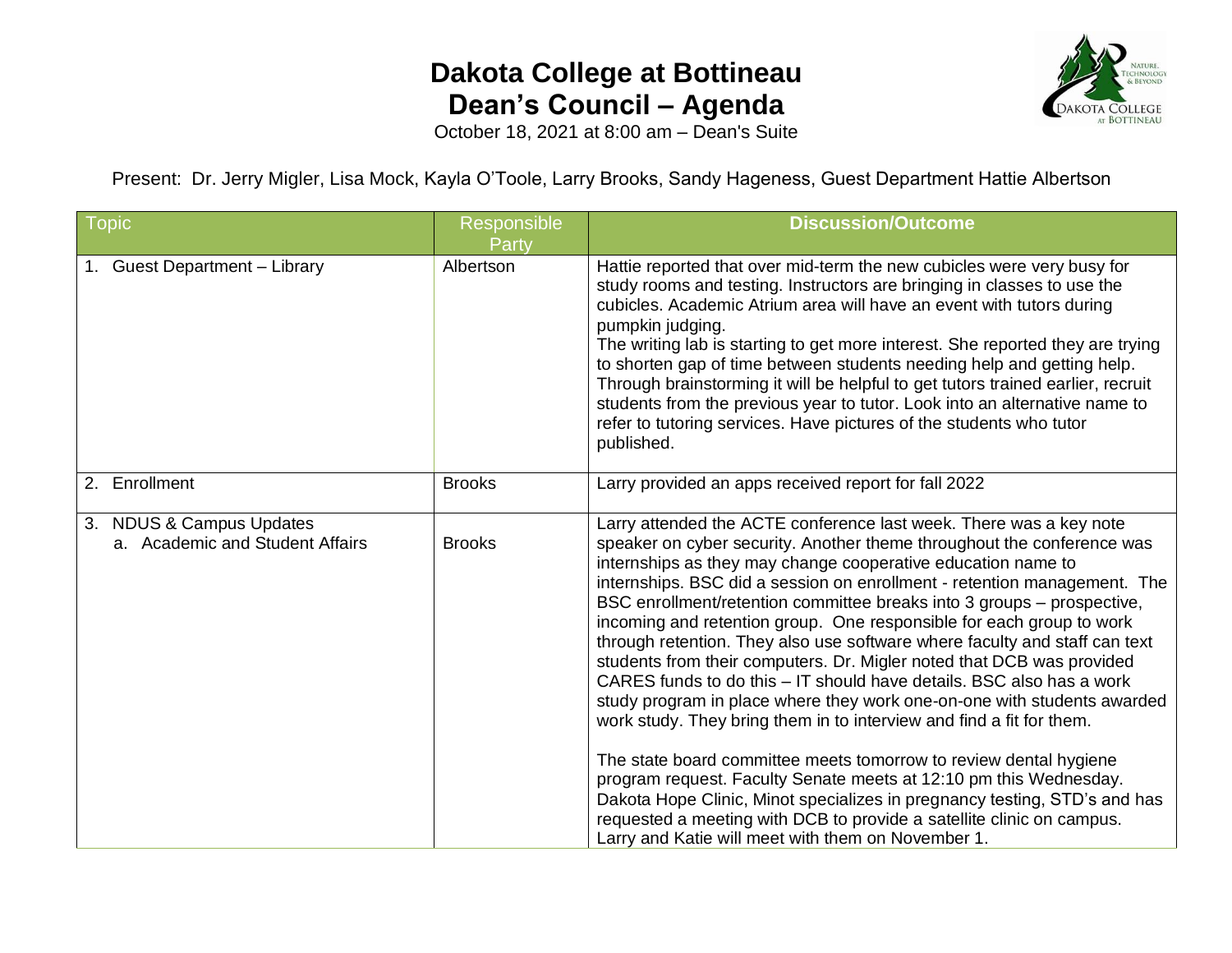## **Dakota College at Bottineau Dean's Council – Agenda**



October 18, 2021 at 8:00 am – Dean's Suite

Present: Dr. Jerry Migler, Lisa Mock, Kayla O'Toole, Larry Brooks, Sandy Hageness, Guest Department Hattie Albertson

| Topic                                                       | Responsible<br>Party | <b>Discussion/Outcome</b>                                                                                                                                                                                                                                                                                                                                                                                                                                                                                                                                                                                                                                                                                                                                                                                                                                                                                                                                                                                                                                                                                                                                                          |
|-------------------------------------------------------------|----------------------|------------------------------------------------------------------------------------------------------------------------------------------------------------------------------------------------------------------------------------------------------------------------------------------------------------------------------------------------------------------------------------------------------------------------------------------------------------------------------------------------------------------------------------------------------------------------------------------------------------------------------------------------------------------------------------------------------------------------------------------------------------------------------------------------------------------------------------------------------------------------------------------------------------------------------------------------------------------------------------------------------------------------------------------------------------------------------------------------------------------------------------------------------------------------------------|
| 1. Guest Department - Library                               | Albertson            | Hattie reported that over mid-term the new cubicles were very busy for<br>study rooms and testing. Instructors are bringing in classes to use the<br>cubicles. Academic Atrium area will have an event with tutors during<br>pumpkin judging.<br>The writing lab is starting to get more interest. She reported they are trying<br>to shorten gap of time between students needing help and getting help.<br>Through brainstorming it will be helpful to get tutors trained earlier, recruit<br>students from the previous year to tutor. Look into an alternative name to<br>refer to tutoring services. Have pictures of the students who tutor<br>published.                                                                                                                                                                                                                                                                                                                                                                                                                                                                                                                    |
| 2. Enrollment                                               | <b>Brooks</b>        | Larry provided an apps received report for fall 2022                                                                                                                                                                                                                                                                                                                                                                                                                                                                                                                                                                                                                                                                                                                                                                                                                                                                                                                                                                                                                                                                                                                               |
| 3. NDUS & Campus Updates<br>a. Academic and Student Affairs | <b>Brooks</b>        | Larry attended the ACTE conference last week. There was a key note<br>speaker on cyber security. Another theme throughout the conference was<br>internships as they may change cooperative education name to<br>internships. BSC did a session on enrollment - retention management. The<br>BSC enrollment/retention committee breaks into 3 groups – prospective,<br>incoming and retention group. One responsible for each group to work<br>through retention. They also use software where faculty and staff can text<br>students from their computers. Dr. Migler noted that DCB was provided<br>CARES funds to do this - IT should have details. BSC also has a work<br>study program in place where they work one-on-one with students awarded<br>work study. They bring them in to interview and find a fit for them.<br>The state board committee meets tomorrow to review dental hygiene<br>program request. Faculty Senate meets at 12:10 pm this Wednesday.<br>Dakota Hope Clinic, Minot specializes in pregnancy testing, STD's and has<br>requested a meeting with DCB to provide a satellite clinic on campus.<br>Larry and Katie will meet with them on November 1. |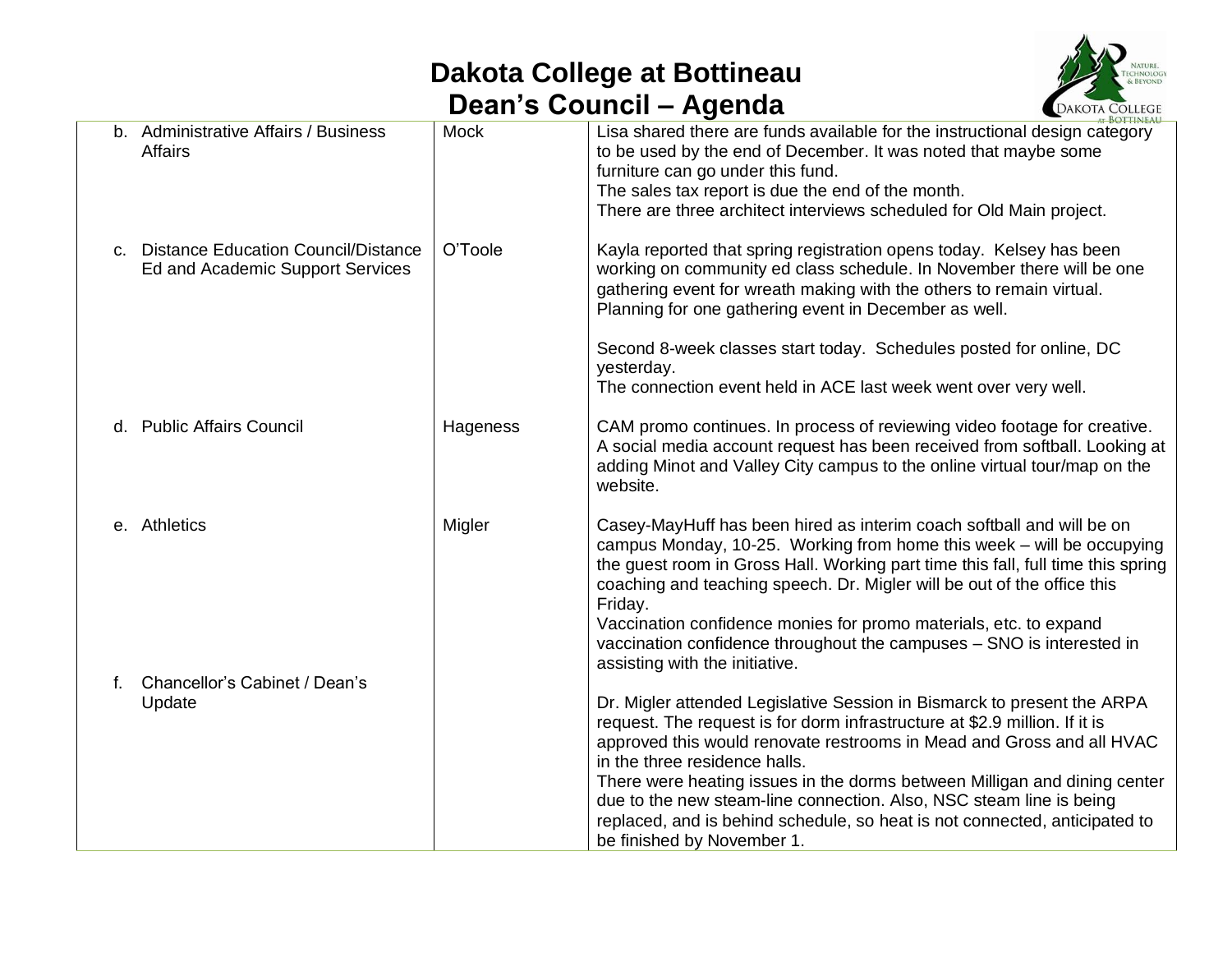## **Dakota College at Bottineau Dean's Council – Agenda**



|    |                                                                            |             | <b>BOTTINEAU</b>                                                                                                                                                                                                                                                                                                                                                                                                                                                                                                                                                  |
|----|----------------------------------------------------------------------------|-------------|-------------------------------------------------------------------------------------------------------------------------------------------------------------------------------------------------------------------------------------------------------------------------------------------------------------------------------------------------------------------------------------------------------------------------------------------------------------------------------------------------------------------------------------------------------------------|
|    | b. Administrative Affairs / Business<br>Affairs                            | <b>Mock</b> | Lisa shared there are funds available for the instructional design category<br>to be used by the end of December. It was noted that maybe some<br>furniture can go under this fund.<br>The sales tax report is due the end of the month.<br>There are three architect interviews scheduled for Old Main project.                                                                                                                                                                                                                                                  |
|    | c. Distance Education Council/Distance<br>Ed and Academic Support Services | O'Toole     | Kayla reported that spring registration opens today. Kelsey has been<br>working on community ed class schedule. In November there will be one<br>gathering event for wreath making with the others to remain virtual.<br>Planning for one gathering event in December as well.                                                                                                                                                                                                                                                                                    |
|    |                                                                            |             | Second 8-week classes start today. Schedules posted for online, DC<br>yesterday.<br>The connection event held in ACE last week went over very well.                                                                                                                                                                                                                                                                                                                                                                                                               |
|    | d. Public Affairs Council                                                  | Hageness    | CAM promo continues. In process of reviewing video footage for creative.<br>A social media account request has been received from softball. Looking at<br>adding Minot and Valley City campus to the online virtual tour/map on the<br>website.                                                                                                                                                                                                                                                                                                                   |
|    | e. Athletics                                                               | Migler      | Casey-MayHuff has been hired as interim coach softball and will be on<br>campus Monday, 10-25. Working from home this week - will be occupying<br>the guest room in Gross Hall. Working part time this fall, full time this spring<br>coaching and teaching speech. Dr. Migler will be out of the office this<br>Friday.<br>Vaccination confidence monies for promo materials, etc. to expand<br>vaccination confidence throughout the campuses - SNO is interested in                                                                                            |
| f. | Chancellor's Cabinet / Dean's<br>Update                                    |             | assisting with the initiative.<br>Dr. Migler attended Legislative Session in Bismarck to present the ARPA<br>request. The request is for dorm infrastructure at \$2.9 million. If it is<br>approved this would renovate restrooms in Mead and Gross and all HVAC<br>in the three residence halls.<br>There were heating issues in the dorms between Milligan and dining center<br>due to the new steam-line connection. Also, NSC steam line is being<br>replaced, and is behind schedule, so heat is not connected, anticipated to<br>be finished by November 1. |